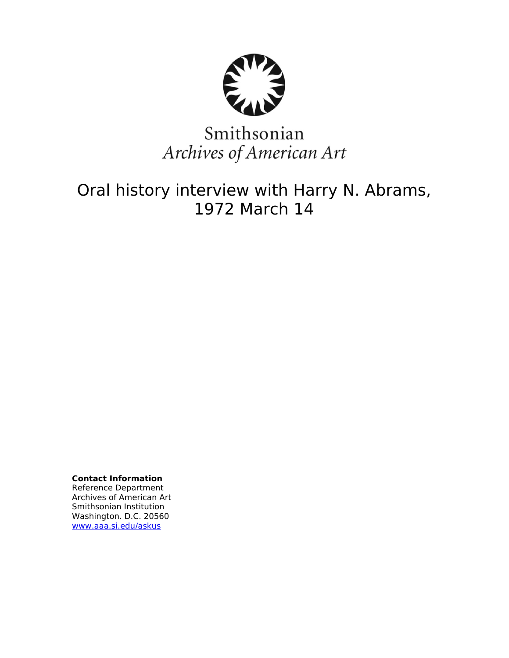

# Smithsonian Archives of American Art

## Oral history interview with Harry N. Abrams, 1972 March 14

**Contact Information** Reference Department Archives of American Art Smithsonian Institution Washington. D.C. 20560 [www.aaa.si.edu/askus](http://www.aaa.si.edu/askus)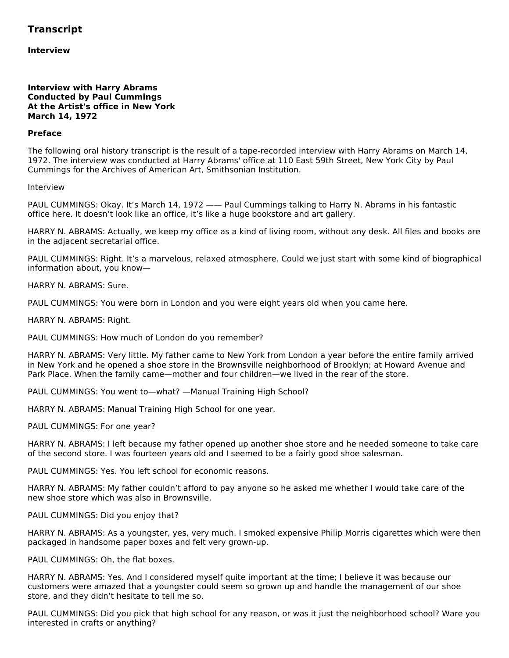### **Transcript**

**Interview**

#### **Interview with Harry Abrams Conducted by Paul Cummings At the Artist's office in New York March 14, 1972**

#### **Preface**

The following oral history transcript is the result of a tape-recorded interview with Harry Abrams on March 14, 1972. The interview was conducted at Harry Abrams' office at 110 East 59th Street, New York City by Paul Cummings for the Archives of American Art, Smithsonian Institution.

#### Interview

PAUL CUMMINGS: Okay. It's March 14, 1972 —— Paul Cummings talking to Harry N. Abrams in his fantastic office here. It doesn't look like an office, it's like a huge bookstore and art gallery.

HARRY N. ABRAMS: Actually, we keep my office as a kind of living room, without any desk. All files and books are in the adjacent secretarial office.

PAUL CUMMINGS: Right. It's a marvelous, relaxed atmosphere. Could we just start with some kind of biographical information about, you know—

HARRY N. ABRAMS: Sure.

PAUL CUMMINGS: You were born in London and you were eight years old when you came here.

HARRY N. ABRAMS: Right.

PAUL CUMMINGS: How much of London do you remember?

HARRY N. ABRAMS: Very little. My father came to New York from London a year before the entire family arrived in New York and he opened a shoe store in the Brownsville neighborhood of Brooklyn; at Howard Avenue and Park Place. When the family came—mother and four children—we lived in the rear of the store.

PAUL CUMMINGS: You went to—what? —Manual Training High School?

HARRY N. ABRAMS: Manual Training High School for one year.

PAUL CUMMINGS: For one year?

HARRY N. ABRAMS: I left because my father opened up another shoe store and he needed someone to take care of the second store. I was fourteen years old and I seemed to be a fairly good shoe salesman.

PAUL CUMMINGS: Yes. You left school for economic reasons.

HARRY N. ABRAMS: My father couldn't afford to pay anyone so he asked me whether I would take care of the new shoe store which was also in Brownsville.

PAUL CUMMINGS: Did you enjoy that?

HARRY N. ABRAMS: As a youngster, yes, very much. I smoked expensive Philip Morris cigarettes which were then packaged in handsome paper boxes and felt very grown-up.

PAUL CUMMINGS: Oh, the flat boxes.

HARRY N. ABRAMS: Yes. And I considered myself quite important at the time; I believe it was because our customers were amazed that a youngster could seem so grown up and handle the management of our shoe store, and they didn't hesitate to tell me so.

PAUL CUMMINGS: Did you pick that high school for any reason, or was it just the neighborhood school? Ware you interested in crafts or anything?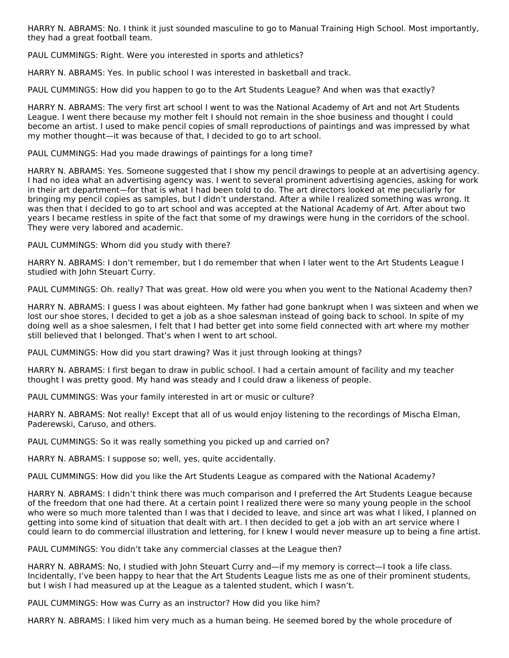HARRY N. ABRAMS: No. I think it just sounded masculine to go to Manual Training High School. Most importantly, they had a great football team.

PAUL CUMMINGS: Right. Were you interested in sports and athletics?

HARRY N. ABRAMS: Yes. In public school I was interested in basketball and track.

PAUL CUMMINGS: How did you happen to go to the Art Students League? And when was that exactly?

HARRY N. ABRAMS: The very first art school I went to was the National Academy of Art and not Art Students League. I went there because my mother felt I should not remain in the shoe business and thought I could become an artist. I used to make pencil copies of small reproductions of paintings and was impressed by what my mother thought—it was because of that, I decided to go to art school.

PAUL CUMMINGS: Had you made drawings of paintings for a long time?

HARRY N. ABRAMS: Yes. Someone suggested that I show my pencil drawings to people at an advertising agency. I had no idea what an advertising agency was. I went to several prominent advertising agencies, asking for work in their art department—for that is what I had been told to do. The art directors looked at me peculiarly for bringing my pencil copies as samples, but I didn't understand. After a while I realized something was wrong. It was then that I decided to go to art school and was accepted at the National Academy of Art. After about two years I became restless in spite of the fact that some of my drawings were hung in the corridors of the school. They were very labored and academic.

PAUL CUMMINGS: Whom did you study with there?

HARRY N. ABRAMS: I don't remember, but I do remember that when I later went to the Art Students League I studied with John Steuart Curry.

PAUL CUMMINGS: Oh. really? That was great. How old were you when you went to the National Academy then?

HARRY N. ABRAMS: I guess I was about eighteen. My father had gone bankrupt when I was sixteen and when we lost our shoe stores, I decided to get a job as a shoe salesman instead of going back to school. In spite of my doing well as a shoe salesmen, I felt that I had better get into some field connected with art where my mother still believed that I belonged. That's when I went to art school.

PAUL CUMMINGS: How did you start drawing? Was it just through looking at things?

HARRY N. ABRAMS: I first began to draw in public school. I had a certain amount of facility and my teacher thought I was pretty good. My hand was steady and I could draw a likeness of people.

PAUL CUMMINGS: Was your family interested in art or music or culture?

HARRY N. ABRAMS: Not really! Except that all of us would enjoy listening to the recordings of Mischa Elman, Paderewski, Caruso, and others.

PAUL CUMMINGS: So it was really something you picked up and carried on?

HARRY N. ABRAMS: I suppose so; well, yes, quite accidentally.

PAUL CUMMINGS: How did you like the Art Students League as compared with the National Academy?

HARRY N. ABRAMS: I didn't think there was much comparison and I preferred the Art Students League because of the freedom that one had there. At a certain point I realized there were so many young people in the school who were so much more talented than I was that I decided to leave, and since art was what I liked, I planned on getting into some kind of situation that dealt with art. I then decided to get a job with an art service where I could learn to do commercial illustration and lettering, for I knew I would never measure up to being a fine artist.

PAUL CUMMINGS: You didn't take any commercial classes at the League then?

HARRY N. ABRAMS: No, I studied with John Steuart Curry and—if my memory is correct—I took a life class. Incidentally, I've been happy to hear that the Art Students League lists me as one of their prominent students, but I wish I had measured up at the League as a talented student, which I wasn't.

PAUL CUMMINGS: How was Curry as an instructor? How did you like him?

HARRY N. ABRAMS: I liked him very much as a human being. He seemed bored by the whole procedure of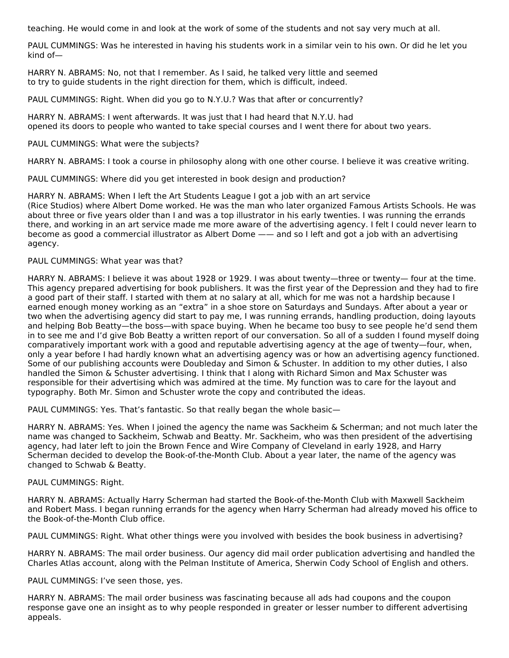teaching. He would come in and look at the work of some of the students and not say very much at all.

PAUL CUMMINGS: Was he interested in having his students work in a similar vein to his own. Or did he let you kind of—

HARRY N. ABRAMS: No, not that I remember. As I said, he talked very little and seemed to try to guide students in the right direction for them, which is difficult, indeed.

PAUL CUMMINGS: Right. When did you go to N.Y.U.? Was that after or concurrently?

HARRY N. ABRAMS: I went afterwards. It was just that I had heard that N.Y.U. had opened its doors to people who wanted to take special courses and I went there for about two years.

#### PAUL CUMMINGS: What were the subjects?

HARRY N. ABRAMS: I took a course in philosophy along with one other course. I believe it was creative writing.

PAUL CUMMINGS: Where did you get interested in book design and production?

HARRY N. ABRAMS: When I left the Art Students League I got a job with an art service (Rice Studios) where Albert Dome worked. He was the man who later organized Famous Artists Schools. He was about three or five years older than I and was a top illustrator in his early twenties. I was running the errands there, and working in an art service made me more aware of the advertising agency. I felt I could never learn to become as good a commercial illustrator as Albert Dome —— and so I left and got a job with an advertising agency.

#### PAUL CUMMINGS: What year was that?

HARRY N. ABRAMS: I believe it was about 1928 or 1929. I was about twenty—three or twenty— four at the time. This agency prepared advertising for book publishers. It was the first year of the Depression and they had to fire a good part of their staff. I started with them at no salary at all, which for me was not a hardship because I earned enough money working as an "extra" in a shoe store on Saturdays and Sundays. After about a year or two when the advertising agency did start to pay me, I was running errands, handling production, doing layouts and helping Bob Beatty—the boss—with space buying. When he became too busy to see people he'd send them in to see me and I'd give Bob Beatty a written report of our conversation. So all of a sudden I found myself doing comparatively important work with a good and reputable advertising agency at the age of twenty—four, when, only a year before I had hardly known what an advertising agency was or how an advertising agency functioned. Some of our publishing accounts were Doubleday and Simon & Schuster. In addition to my other duties, I also handled the Simon & Schuster advertising. I think that I along with Richard Simon and Max Schuster was responsible for their advertising which was admired at the time. My function was to care for the layout and typography. Both Mr. Simon and Schuster wrote the copy and contributed the ideas.

PAUL CUMMINGS: Yes. That's fantastic. So that really began the whole basic—

HARRY N. ABRAMS: Yes. When I joined the agency the name was Sackheim & Scherman; and not much later the name was changed to Sackheim, Schwab and Beatty. Mr. Sackheim, who was then president of the advertising agency, had later left to join the Brown Fence and Wire Company of Cleveland in early 1928, and Harry Scherman decided to develop the Book-of-the-Month Club. About a year later, the name of the agency was changed to Schwab & Beatty.

#### PAUL CUMMINGS: Right.

HARRY N. ABRAMS: Actually Harry Scherman had started the Book-of-the-Month Club with Maxwell Sackheim and Robert Mass. I began running errands for the agency when Harry Scherman had already moved his office to the Book-of-the-Month Club office.

PAUL CUMMINGS: Right. What other things were you involved with besides the book business in advertising?

HARRY N. ABRAMS: The mail order business. Our agency did mail order publication advertising and handled the Charles Atlas account, along with the Pelman Institute of America, Sherwin Cody School of English and others.

PAUL CUMMINGS: I've seen those, yes.

HARRY N. ABRAMS: The mail order business was fascinating because all ads had coupons and the coupon response gave one an insight as to why people responded in greater or lesser number to different advertising appeals.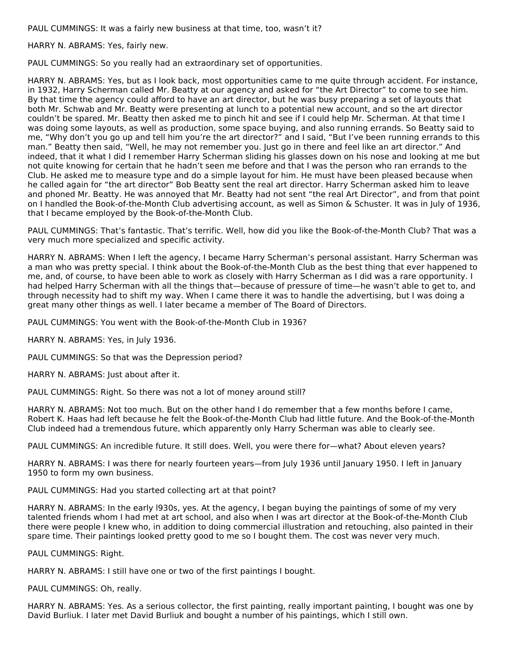PAUL CUMMINGS: It was a fairly new business at that time, too, wasn't it?

HARRY N. ABRAMS: Yes, fairly new.

PAUL CUMMINGS: So you really had an extraordinary set of opportunities.

HARRY N. ABRAMS: Yes, but as I look back, most opportunities came to me quite through accident. For instance, in 1932, Harry Scherman called Mr. Beatty at our agency and asked for "the Art Director" to come to see him. By that time the agency could afford to have an art director, but he was busy preparing a set of layouts that both Mr. Schwab and Mr. Beatty were presenting at lunch to a potential new account, and so the art director couldn't be spared. Mr. Beatty then asked me to pinch hit and see if I could help Mr. Scherman. At that time I was doing some layouts, as well as production, some space buying, and also running errands. So Beatty said to me, "Why don't you go up and tell him you're the art director?" and I said, "But I've been running errands to this man." Beatty then said, "Well, he may not remember you. Just go in there and feel like an art director." And indeed, that it what I did I remember Harry Scherman sliding his glasses down on his nose and looking at me but not quite knowing for certain that he hadn't seen me before and that I was the person who ran errands to the Club. He asked me to measure type and do a simple layout for him. He must have been pleased because when he called again for "the art director" Bob Beatty sent the real art director. Harry Scherman asked him to leave and phoned Mr. Beatty. He was annoyed that Mr. Beatty had not sent "the real Art Director", and from that point on I handled the Book-of-the-Month Club advertising account, as well as Simon & Schuster. It was in July of 1936, that I became employed by the Book-of-the-Month Club.

PAUL CUMMINGS: That's fantastic. That's terrific. Well, how did you like the Book-of-the-Month Club? That was a very much more specialized and specific activity.

HARRY N. ABRAMS: When I left the agency, I became Harry Scherman's personal assistant. Harry Scherman was a man who was pretty special. I think about the Book-of-the-Month Club as the best thing that ever happened to me, and, of course, to have been able to work as closely with Harry Scherman as I did was a rare opportunity. I had helped Harry Scherman with all the things that—because of pressure of time—he wasn't able to get to, and through necessity had to shift my way. When I came there it was to handle the advertising, but I was doing a great many other things as well. I later became a member of The Board of Directors.

PAUL CUMMINGS: You went with the Book-of-the-Month Club in 1936?

HARRY N. ABRAMS: Yes, in July 1936.

PAUL CUMMINGS: So that was the Depression period?

HARRY N. ABRAMS: Just about after it.

PAUL CUMMINGS: Right. So there was not a lot of money around still?

HARRY N. ABRAMS: Not too much. But on the other hand I do remember that a few months before I came, Robert K. Haas had left because he felt the Book-of-the-Month Club had little future. And the Book-of-the-Month Club indeed had a tremendous future, which apparently only Harry Scherman was able to clearly see.

PAUL CUMMINGS: An incredible future. It still does. Well, you were there for—what? About eleven years?

HARRY N. ABRAMS: I was there for nearly fourteen years—from July 1936 until January 1950. I left in January 1950 to form my own business.

PAUL CUMMINGS: Had you started collecting art at that point?

HARRY N. ABRAMS: In the early l930s, yes. At the agency, I began buying the paintings of some of my very talented friends whom I had met at art school, and also when I was art director at the Book-of-the-Month Club there were people I knew who, in addition to doing commercial illustration and retouching, also painted in their spare time. Their paintings looked pretty good to me so I bought them. The cost was never very much.

PAUL CUMMINGS: Right.

HARRY N. ABRAMS: I still have one or two of the first paintings I bought.

PAUL CUMMINGS: Oh, really.

HARRY N. ABRAMS: Yes. As a serious collector, the first painting, really important painting, I bought was one by David Burliuk. I later met David Burliuk and bought a number of his paintings, which I still own.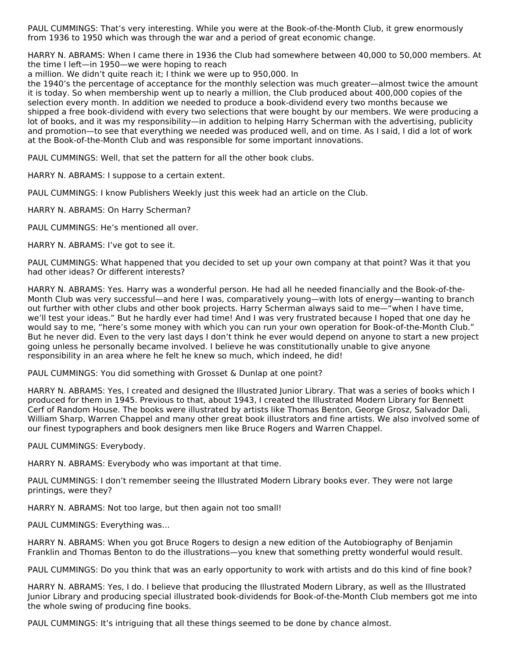PAUL CUMMINGS: That's very interesting. While you were at the Book-of-the-Month Club, it grew enormously from 1936 to 1950 which was through the war and a period of great economic change.

HARRY N. ABRAMS: When I came there in 1936 the Club had somewhere between 40,000 to 50,000 members. At the time I left—in 1950—we were hoping to reach

a million. We didn't quite reach it; I think we were up to 950,000. In

the 1940's the percentage of acceptance for the monthly selection was much greater—almost twice the amount it is today. So when membership went up to nearly a million, the Club produced about 400,000 copies of the selection every month. In addition we needed to produce a book-dividend every two months because we shipped a free book-dividend with every two selections that were bought by our members. We were producing a lot of books, and it was my responsibility—in addition to helping Harry Scherman with the advertising, publicity and promotion—to see that everything we needed was produced well, and on time. As I said, I did a lot of work at the Book-of-the-Month Club and was responsible for some important innovations.

PAUL CUMMINGS: Well, that set the pattern for all the other book clubs.

HARRY N. ABRAMS: I suppose to a certain extent.

PAUL CUMMINGS: I know Publishers Weekly just this week had an article on the Club.

HARRY N. ABRAMS: On Harry Scherman?

PAUL CUMMINGS: He's mentioned all over.

HARRY N. ABRAMS: I've got to see it.

PAUL CUMMINGS: What happened that you decided to set up your own company at that point? Was it that you had other ideas? Or different interests?

HARRY N. ABRAMS: Yes. Harry was a wonderful person. He had all he needed financially and the Book-of-the-Month Club was very successful—and here I was, comparatively young—with lots of energy—wanting to branch out further with other clubs and other book projects. Harry Scherman always said to me—"when I have time, we'll test your ideas." But he hardly ever had time! And I was very frustrated because I hoped that one day he would say to me, "here's some money with which you can run your own operation for Book-of-the-Month Club." But he never did. Even to the very last days I don't think he ever would depend on anyone to start a new project going unless he personally became involved. I believe he was constitutionally unable to give anyone responsibility in an area where he felt he knew so much, which indeed, he did!

PAUL CUMMINGS: You did something with Grosset & Dunlap at one point?

HARRY N. ABRAMS: Yes, I created and designed the Illustrated Junior Library. That was a series of books which I produced for them in 1945. Previous to that, about 1943, I created the Illustrated Modern Library for Bennett Cerf of Random House. The books were illustrated by artists like Thomas Benton, George Grosz, Salvador Dali, William Sharp, Warren Chappel and many other great book illustrators and fine artists. We also involved some of our finest typographers and book designers men like Bruce Rogers and Warren Chappel.

PAUL CUMMINGS: Everybody.

HARRY N. ABRAMS: Everybody who was important at that time.

PAUL CUMMINGS: I don't remember seeing the Illustrated Modern Library books ever. They were not large printings, were they?

HARRY N. ABRAMS: Not too large, but then again not too small!

PAUL CUMMINGS: Everything was…

HARRY N. ABRAMS: When you got Bruce Rogers to design a new edition of the Autobiography of Benjamin Franklin and Thomas Benton to do the illustrations—you knew that something pretty wonderful would result.

PAUL CUMMINGS: Do you think that was an early opportunity to work with artists and do this kind of fine book?

HARRY N. ABRAMS: Yes, I do. I believe that producing the Illustrated Modern Library, as well as the Illustrated Junior Library and producing special illustrated book-dividends for Book-of-the-Month Club members got me into the whole swing of producing fine books.

PAUL CUMMINGS: It's intriguing that all these things seemed to be done by chance almost.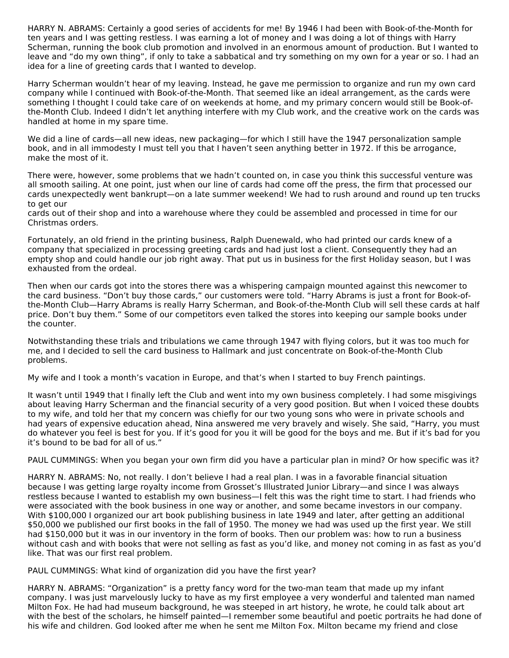HARRY N. ABRAMS: Certainly a good series of accidents for me! By 1946 I had been with Book-of-the-Month for ten years and I was getting restless. I was earning a lot of money and I was doing a lot of things with Harry Scherman, running the book club promotion and involved in an enormous amount of production. But I wanted to leave and "do my own thing", if only to take a sabbatical and try something on my own for a year or so. I had an idea for a line of greeting cards that I wanted to develop.

Harry Scherman wouldn't hear of my leaving. Instead, he gave me permission to organize and run my own card company while I continued with Book-of-the-Month. That seemed like an ideal arrangement, as the cards were something I thought I could take care of on weekends at home, and my primary concern would still be Book-ofthe-Month Club. Indeed I didn't let anything interfere with my Club work, and the creative work on the cards was handled at home in my spare time.

We did a line of cards—all new ideas, new packaging—for which I still have the 1947 personalization sample book, and in all immodesty I must tell you that I haven't seen anything better in 1972. If this be arrogance, make the most of it.

There were, however, some problems that we hadn't counted on, in case you think this successful venture was all smooth sailing. At one point, just when our line of cards had come off the press, the firm that processed our cards unexpectedly went bankrupt—on a late summer weekend! We had to rush around and round up ten trucks to get our

cards out of their shop and into a warehouse where they could be assembled and processed in time for our Christmas orders.

Fortunately, an old friend in the printing business, Ralph Duenewald, who had printed our cards knew of a company that specialized in processing greeting cards and had just lost a client. Consequently they had an empty shop and could handle our job right away. That put us in business for the first Holiday season, but I was exhausted from the ordeal.

Then when our cards got into the stores there was a whispering campaign mounted against this newcomer to the card business. "Don't buy those cards," our customers were told. "Harry Abrams is just a front for Book-ofthe-Month Club—Harry Abrams is really Harry Scherman, and Book-of-the-Month Club will sell these cards at half price. Don't buy them." Some of our competitors even talked the stores into keeping our sample books under the counter.

Notwithstanding these trials and tribulations we came through 1947 with flying colors, but it was too much for me, and I decided to sell the card business to Hallmark and just concentrate on Book-of-the-Month Club problems.

My wife and I took a month's vacation in Europe, and that's when I started to buy French paintings.

It wasn't until 1949 that I finally left the Club and went into my own business completely. I had some misgivings about leaving Harry Scherman and the financial security of a very good position. But when I voiced these doubts to my wife, and told her that my concern was chiefly for our two young sons who were in private schools and had years of expensive education ahead, Nina answered me very bravely and wisely. She said, "Harry, you must do whatever you feel is best for you. If it's good for you it will be good for the boys and me. But if it's bad for you it's bound to be bad for all of us."

PAUL CUMMINGS: When you began your own firm did you have a particular plan in mind? Or how specific was it?

HARRY N. ABRAMS: No, not really. I don't believe I had a real plan. I was in a favorable financial situation because I was getting large royalty income from Grosset's Illustrated Junior Library—and since I was always restless because I wanted to establish my own business—I felt this was the right time to start. I had friends who were associated with the book business in one way or another, and some became investors in our company. With \$100,000 I organized our art book publishing business in late 1949 and later, after getting an additional \$50,000 we published our first books in the fall of 1950. The money we had was used up the first year. We still had \$150,000 but it was in our inventory in the form of books. Then our problem was: how to run a business without cash and with books that were not selling as fast as you'd like, and money not coming in as fast as you'd like. That was our first real problem.

PAUL CUMMINGS: What kind of organization did you have the first year?

HARRY N. ABRAMS: "Organization" is a pretty fancy word for the two-man team that made up my infant company. I was just marvelously lucky to have as my first employee a very wonderful and talented man named Milton Fox. He had had museum background, he was steeped in art history, he wrote, he could talk about art with the best of the scholars, he himself painted—I remember some beautiful and poetic portraits he had done of his wife and children. God looked after me when he sent me Milton Fox. Milton became my friend and close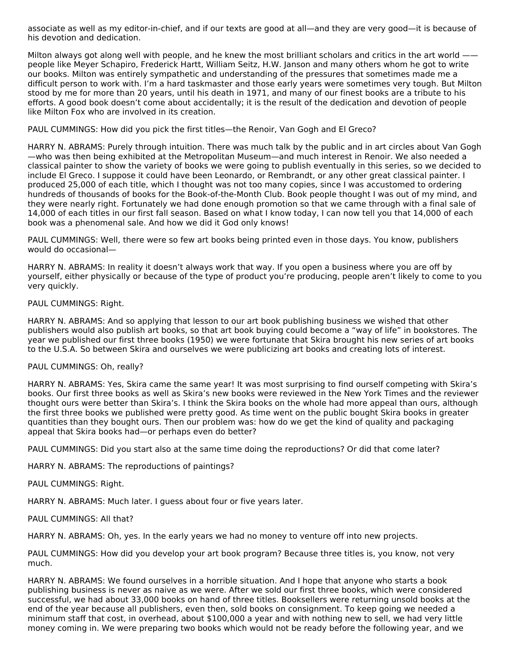associate as well as my editor-in-chief, and if our texts are good at all—and they are very good—it is because of his devotion and dedication.

Milton always got along well with people, and he knew the most brilliant scholars and critics in the art world people like Meyer Schapiro, Frederick Hartt, William Seitz, H.W. Janson and many others whom he got to write our books. Milton was entirely sympathetic and understanding of the pressures that sometimes made me a difficult person to work with. I'm a hard taskmaster and those early years were sometimes very tough. But Milton stood by me for more than 20 years, until his death in 1971, and many of our finest books are a tribute to his efforts. A good book doesn't come about accidentally; it is the result of the dedication and devotion of people like Milton Fox who are involved in its creation.

PAUL CUMMINGS: How did you pick the first titles—the Renoir, Van Gogh and El Greco?

HARRY N. ABRAMS: Purely through intuition. There was much talk by the public and in art circles about Van Gogh —who was then being exhibited at the Metropolitan Museum—and much interest in Renoir. We also needed a classical painter to show the variety of books we were going to publish eventually in this series, so we decided to include El Greco. I suppose it could have been Leonardo, or Rembrandt, or any other great classical painter. I produced 25,000 of each title, which I thought was not too many copies, since I was accustomed to ordering hundreds of thousands of books for the Book-of-the-Month Club. Book people thought I was out of my mind, and they were nearly right. Fortunately we had done enough promotion so that we came through with a final sale of 14,000 of each titles in our first fall season. Based on what I know today, I can now tell you that 14,000 of each book was a phenomenal sale. And how we did it God only knows!

PAUL CUMMINGS: Well, there were so few art books being printed even in those days. You know, publishers would do occasional—

HARRY N. ABRAMS: In reality it doesn't always work that way. If you open a business where you are off by yourself, either physically or because of the type of product you're producing, people aren't likely to come to you very quickly.

#### PAUL CUMMINGS: Right.

HARRY N. ABRAMS: And so applying that lesson to our art book publishing business we wished that other publishers would also publish art books, so that art book buying could become a "way of life" in bookstores. The year we published our first three books (1950) we were fortunate that Skira brought his new series of art books to the U.S.A. So between Skira and ourselves we were publicizing art books and creating lots of interest.

#### PAUL CUMMINGS: Oh, really?

HARRY N. ABRAMS: Yes, Skira came the same year! It was most surprising to find ourself competing with Skira's books. Our first three books as well as Skira's new books were reviewed in the New York Times and the reviewer thought ours were better than Skira's. I think the Skira books on the whole had more appeal than ours, although the first three books we published were pretty good. As time went on the public bought Skira books in greater quantities than they bought ours. Then our problem was: how do we get the kind of quality and packaging appeal that Skira books had—or perhaps even do better?

PAUL CUMMINGS: Did you start also at the same time doing the reproductions? Or did that come later?

HARRY N. ABRAMS: The reproductions of paintings?

PAUL CUMMINGS: Right.

HARRY N. ABRAMS: Much later. I guess about four or five years later.

PAUL CUMMINGS: All that?

HARRY N. ABRAMS: Oh, yes. In the early years we had no money to venture off into new projects.

PAUL CUMMINGS: How did you develop your art book program? Because three titles is, you know, not very much.

HARRY N. ABRAMS: We found ourselves in a horrible situation. And I hope that anyone who starts a book publishing business is never as naive as we were. After we sold our first three books, which were considered successful, we had about 33,000 books on hand of three titles. Booksellers were returning unsold books at the end of the year because all publishers, even then, sold books on consignment. To keep going we needed a minimum staff that cost, in overhead, about \$100,000 a year and with nothing new to sell, we had very little money coming in. We were preparing two books which would not be ready before the following year, and we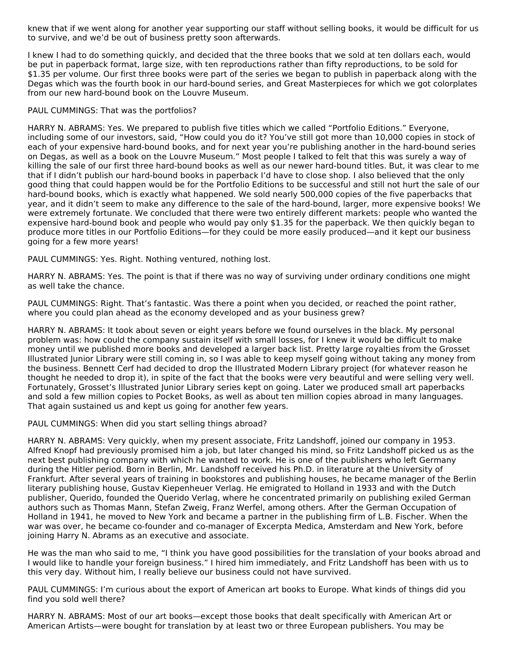knew that if we went along for another year supporting our staff without selling books, it would be difficult for us to survive, and we'd be out of business pretty soon afterwards.

I knew I had to do something quickly, and decided that the three books that we sold at ten dollars each, would be put in paperback format, large size, with ten reproductions rather than fifty reproductions, to be sold for \$1.35 per volume. Our first three books were part of the series we began to publish in paperback along with the Degas which was the fourth book in our hard-bound series, and Great Masterpieces for which we got colorplates from our new hard-bound book on the Louvre Museum.

#### PAUL CUMMINGS: That was the portfolios?

HARRY N. ABRAMS: Yes. We prepared to publish five titles which we called "Portfolio Editions." Everyone, including some of our investors, said, "How could you do it? You've still got more than 10,000 copies in stock of each of your expensive hard-bound books, and for next year you're publishing another in the hard-bound series on Degas, as well as a book on the Louvre Museum." Most people I talked to felt that this was surely a way of killing the sale of our first three hard-bound books as well as our newer hard-bound titles. But, it was clear to me that if I didn't publish our hard-bound books in paperback I'd have to close shop. I also believed that the only good thing that could happen would be for the Portfolio Editions to be successful and still not hurt the sale of our hard-bound books, which is exactly what happened. We sold nearly 500,000 copies of the five paperbacks that year, and it didn't seem to make any difference to the sale of the hard-bound, larger, more expensive books! We were extremely fortunate. We concluded that there were two entirely different markets: people who wanted the expensive hard-bound book and people who would pay only \$1.35 for the paperback. We then quickly began to produce more titles in our Portfolio Editions—for they could be more easily produced—and it kept our business going for a few more years!

PAUL CUMMINGS: Yes. Right. Nothing ventured, nothing lost.

HARRY N. ABRAMS: Yes. The point is that if there was no way of surviving under ordinary conditions one might as well take the chance.

PAUL CUMMINGS: Right. That's fantastic. Was there a point when you decided, or reached the point rather, where you could plan ahead as the economy developed and as your business grew?

HARRY N. ABRAMS: It took about seven or eight years before we found ourselves in the black. My personal problem was: how could the company sustain itself with small losses, for I knew it would be difficult to make money until we published more books and developed a larger back list. Pretty large royalties from the Grosset Illustrated Junior Library were still coming in, so I was able to keep myself going without taking any money from the business. Bennett Cerf had decided to drop the Illustrated Modern Library project (for whatever reason he thought he needed to drop it), in spite of the fact that the books were very beautiful and were selling very well. Fortunately, Grosset's Illustrated Junior Library series kept on going. Later we produced small art paperbacks and sold a few million copies to Pocket Books, as well as about ten million copies abroad in many languages. That again sustained us and kept us going for another few years.

PAUL CUMMINGS: When did you start selling things abroad?

HARRY N. ABRAMS: Very quickly, when my present associate, Fritz Landshoff, joined our company in 1953. Alfred Knopf had previously promised him a job, but later changed his mind, so Fritz Landshoff picked us as the next best publishing company with which he wanted to work. He is one of the publishers who left Germany during the Hitler period. Born in Berlin, Mr. Landshoff received his Ph.D. in literature at the University of Frankfurt. After several years of training in bookstores and publishing houses, he became manager of the Berlin literary publishing house, Gustav Kiepenheuer Verlag. He emigrated to Holland in 1933 and with the Dutch publisher, Querido, founded the Querido Verlag, where he concentrated primarily on publishing exiled German authors such as Thomas Mann, Stefan Zweig, Franz Werfel, among others. After the German Occupation of Holland in 1941, he moved to New York and became a partner in the publishing firm of L.B. Fischer. When the war was over, he became co-founder and co-manager of Excerpta Medica, Amsterdam and New York, before joining Harry N. Abrams as an executive and associate.

He was the man who said to me, "I think you have good possibilities for the translation of your books abroad and I would like to handle your foreign business." I hired him immediately, and Fritz Landshoff has been with us to this very day. Without him, I really believe our business could not have survived.

PAUL CUMMINGS: I'm curious about the export of American art books to Europe. What kinds of things did you find you sold well there?

HARRY N. ABRAMS: Most of our art books—except those books that dealt specifically with American Art or American Artists—were bought for translation by at least two or three European publishers. You may be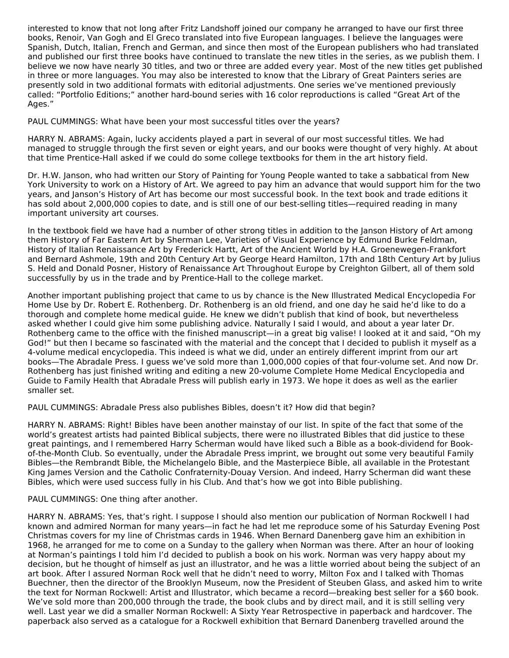interested to know that not long after Fritz Landshoff joined our company he arranged to have our first three books, Renoir, Van Gogh and El Greco translated into five European languages. I believe the languages were Spanish, Dutch, Italian, French and German, and since then most of the European publishers who had translated and published our first three books have continued to translate the new titles in the series, as we publish them. I believe we now have nearly 30 titles, and two or three are added every year. Most of the new titles get published in three or more languages. You may also be interested to know that the Library of Great Painters series are presently sold in two additional formats with editorial adjustments. One series we've mentioned previously called: "Portfolio Editions;" another hard-bound series with 16 color reproductions is called "Great Art of the Ages."

PAUL CUMMINGS: What have been your most successful titles over the years?

HARRY N. ABRAMS: Again, lucky accidents played a part in several of our most successful titles. We had managed to struggle through the first seven or eight years, and our books were thought of very highly. At about that time Prentice-Hall asked if we could do some college textbooks for them in the art history field.

Dr. H.W. Janson, who had written our Story of Painting for Young People wanted to take a sabbatical from New York University to work on a History of Art. We agreed to pay him an advance that would support him for the two years, and Janson's History of Art has become our most successful book. In the text book and trade editions it has sold about 2,000,000 copies to date, and is still one of our best-selling titles—required reading in many important university art courses.

In the textbook field we have had a number of other strong titles in addition to the Janson History of Art among them History of Far Eastern Art by Sherman Lee, Varieties of Visual Experience by Edmund Burke Feldman, History of Italian Renaissance Art by Frederick Hartt, Art of the Ancient World by H.A. Groenewegen-Frankfort and Bernard Ashmole, 19th and 20th Century Art by George Heard Hamilton, 17th and 18th Century Art by Julius S. Held and Donald Posner, History of Renaissance Art Throughout Europe by Creighton Gilbert, all of them sold successfully by us in the trade and by Prentice-Hall to the college market.

Another important publishing project that came to us by chance is the New Illustrated Medical Encyclopedia For Home Use by Dr. Robert E. Rothenberg. Dr. Rothenberg is an old friend, and one day he said he'd like to do a thorough and complete home medical guide. He knew we didn't publish that kind of book, but nevertheless asked whether I could give him some publishing advice. Naturally I said I would, and about a year later Dr. Rothenberg came to the office with the finished manuscript—in a great big valise! I looked at it and said, "Oh my God!" but then I became so fascinated with the material and the concept that I decided to publish it myself as a 4-volume medical encyclopedia. This indeed is what we did, under an entirely different imprint from our art books—The Abradale Press. I guess we've sold more than 1,000,000 copies of that four-volume set. And now Dr. Rothenberg has just finished writing and editing a new 20-volume Complete Home Medical Encyclopedia and Guide to Family Health that Abradale Press will publish early in 1973. We hope it does as well as the earlier smaller set.

PAUL CUMMINGS: Abradale Press also publishes Bibles, doesn't it? How did that begin?

HARRY N. ABRAMS: Right! Bibles have been another mainstay of our list. In spite of the fact that some of the world's greatest artists had painted Biblical subjects, there were no illustrated Bibles that did justice to these great paintings, and I remembered Harry Scherman would have liked such a Bible as a book-dividend for Bookof-the-Month Club. So eventually, under the Abradale Press imprint, we brought out some very beautiful Family Bibles—the Rembrandt Bible, the Michelangelo Bible, and the Masterpiece Bible, all available in the Protestant King James Version and the Catholic Confraternity-Douay Version. And indeed, Harry Scherman did want these Bibles, which were used success fully in his Club. And that's how we got into Bible publishing.

PAUL CUMMINGS: One thing after another.

HARRY N. ABRAMS: Yes, that's right. I suppose I should also mention our publication of Norman Rockwell I had known and admired Norman for many years—in fact he had let me reproduce some of his Saturday Evening Post Christmas covers for my line of Christmas cards in 1946. When Bernard Danenberg gave him an exhibition in 1968, he arranged for me to come on a Sunday to the gallery when Norman was there. After an hour of looking at Norman's paintings I told him I'd decided to publish a book on his work. Norman was very happy about my decision, but he thought of himself as just an illustrator, and he was a little worried about being the subject of an art book. After I assured Norman Rock well that he didn't need to worry, Milton Fox and I talked with Thomas Buechner, then the director of the Brooklyn Museum, now the President of Steuben Glass, and asked him to write the text for Norman Rockwell: Artist and Illustrator, which became a record—breaking best seller for a \$60 book. We've sold more than 200,000 through the trade, the book clubs and by direct mail, and it is still selling very well. Last year we did a smaller Norman Rockwell: A Sixty Year Retrospective in paperback and hardcover. The paperback also served as a catalogue for a Rockwell exhibition that Bernard Danenberg travelled around the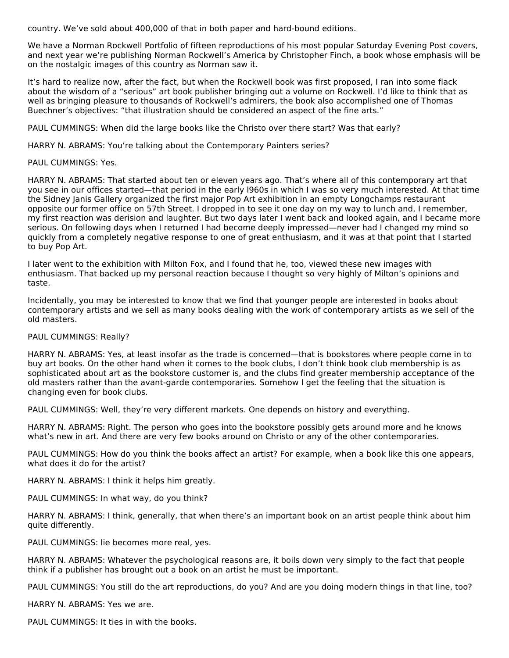country. We've sold about 400,000 of that in both paper and hard-bound editions.

We have a Norman Rockwell Portfolio of fifteen reproductions of his most popular Saturday Evening Post covers, and next year we're publishing Norman Rockwell's America by Christopher Finch, a book whose emphasis will be on the nostalgic images of this country as Norman saw it.

It's hard to realize now, after the fact, but when the Rockwell book was first proposed, I ran into some flack about the wisdom of a "serious" art book publisher bringing out a volume on Rockwell. I'd like to think that as well as bringing pleasure to thousands of Rockwell's admirers, the book also accomplished one of Thomas Buechner's objectives: "that illustration should be considered an aspect of the fine arts."

PAUL CUMMINGS: When did the large books like the Christo over there start? Was that early?

HARRY N. ABRAMS: You're talking about the Contemporary Painters series?

#### PAUL CUMMINGS: Yes.

HARRY N. ABRAMS: That started about ten or eleven years ago. That's where all of this contemporary art that you see in our offices started—that period in the early l960s in which I was so very much interested. At that time the Sidney Janis Gallery organized the first major Pop Art exhibition in an empty Longchamps restaurant opposite our former office on 57th Street. I dropped in to see it one day on my way to lunch and, I remember, my first reaction was derision and laughter. But two days later I went back and looked again, and I became more serious. On following days when I returned I had become deeply impressed—never had I changed my mind so quickly from a completely negative response to one of great enthusiasm, and it was at that point that I started to buy Pop Art.

I later went to the exhibition with Milton Fox, and I found that he, too, viewed these new images with enthusiasm. That backed up my personal reaction because I thought so very highly of Milton's opinions and taste.

Incidentally, you may be interested to know that we find that younger people are interested in books about contemporary artists and we sell as many books dealing with the work of contemporary artists as we sell of the old masters.

#### PAUL CUMMINGS: Really?

HARRY N. ABRAMS: Yes, at least insofar as the trade is concerned—that is bookstores where people come in to buy art books. On the other hand when it comes to the book clubs, I don't think book club membership is as sophisticated about art as the bookstore customer is, and the clubs find greater membership acceptance of the old masters rather than the avant-garde contemporaries. Somehow I get the feeling that the situation is changing even for book clubs.

PAUL CUMMINGS: Well, they're very different markets. One depends on history and everything.

HARRY N. ABRAMS: Right. The person who goes into the bookstore possibly gets around more and he knows what's new in art. And there are very few books around on Christo or any of the other contemporaries.

PAUL CUMMINGS: How do you think the books affect an artist? For example, when a book like this one appears, what does it do for the artist?

HARRY N. ABRAMS: I think it helps him greatly.

PAUL CUMMINGS: In what way, do you think?

HARRY N. ABRAMS: I think, generally, that when there's an important book on an artist people think about him quite differently.

PAUL CUMMINGS: lie becomes more real, yes.

HARRY N. ABRAMS: Whatever the psychological reasons are, it boils down very simply to the fact that people think if a publisher has brought out a book on an artist he must be important.

PAUL CUMMINGS: You still do the art reproductions, do you? And are you doing modern things in that line, too?

HARRY N. ABRAMS: Yes we are.

PAUL CUMMINGS: It ties in with the books.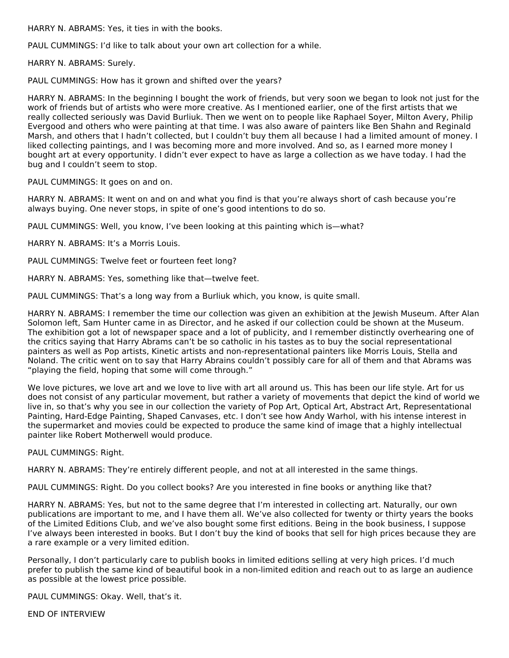HARRY N. ABRAMS: Yes, it ties in with the books.

PAUL CUMMINGS: I'd like to talk about your own art collection for a while.

HARRY N. ABRAMS: Surely.

PAUL CUMMINGS: How has it grown and shifted over the years?

HARRY N. ABRAMS: In the beginning I bought the work of friends, but very soon we began to look not just for the work of friends but of artists who were more creative. As I mentioned earlier, one of the first artists that we really collected seriously was David Burliuk. Then we went on to people like Raphael Soyer, Milton Avery, Philip Evergood and others who were painting at that time. I was also aware of painters like Ben Shahn and Reginald Marsh, and others that I hadn't collected, but I couldn't buy them all because I had a limited amount of money. I liked collecting paintings, and I was becoming more and more involved. And so, as I earned more money I bought art at every opportunity. I didn't ever expect to have as large a collection as we have today. I had the bug and I couldn't seem to stop.

PAUL CUMMINGS: It goes on and on.

HARRY N. ABRAMS: It went on and on and what you find is that you're always short of cash because you're always buying. One never stops, in spite of one's good intentions to do so.

PAUL CUMMINGS: Well, you know, I've been looking at this painting which is—what?

HARRY N. ABRAMS: It's a Morris Louis.

PAUL CUMMINGS: Twelve feet or fourteen feet long?

HARRY N. ABRAMS: Yes, something like that—twelve feet.

PAUL CUMMINGS: That's a long way from a Burliuk which, you know, is quite small.

HARRY N. ABRAMS: I remember the time our collection was given an exhibition at the Jewish Museum. After Alan Solomon left, Sam Hunter came in as Director, and he asked if our collection could be shown at the Museum. The exhibition got a lot of newspaper space and a lot of publicity, and I remember distinctly overhearing one of the critics saying that Harry Abrams can't be so catholic in his tastes as to buy the social representational painters as well as Pop artists, Kinetic artists and non-representational painters like Morris Louis, Stella and Noland. The critic went on to say that Harry Abrains couldn't possibly care for all of them and that Abrams was "playing the field, hoping that some will come through."

We love pictures, we love art and we love to live with art all around us. This has been our life style. Art for us does not consist of any particular movement, but rather a variety of movements that depict the kind of world we live in, so that's why you see in our collection the variety of Pop Art, Optical Art, Abstract Art, Representational Painting, Hard-Edge Painting, Shaped Canvases, etc. I don't see how Andy Warhol, with his intense interest in the supermarket and movies could be expected to produce the same kind of image that a highly intellectual painter like Robert Motherwell would produce.

PAUL CUMMINGS: Right.

HARRY N. ABRAMS: They're entirely different people, and not at all interested in the same things.

PAUL CUMMINGS: Right. Do you collect books? Are you interested in fine books or anything like that?

HARRY N. ABRAMS: Yes, but not to the same degree that I'm interested in collecting art. Naturally, our own publications are important to me, and I have them all. We've also collected for twenty or thirty years the books of the Limited Editions Club, and we've also bought some first editions. Being in the book business, I suppose I've always been interested in books. But I don't buy the kind of books that sell for high prices because they are a rare example or a very limited edition.

Personally, I don't particularly care to publish books in limited editions selling at very high prices. I'd much prefer to publish the same kind of beautiful book in a non-limited edition and reach out to as large an audience as possible at the lowest price possible.

PAUL CUMMINGS: Okay. Well, that's it.

END OF INTERVIEW